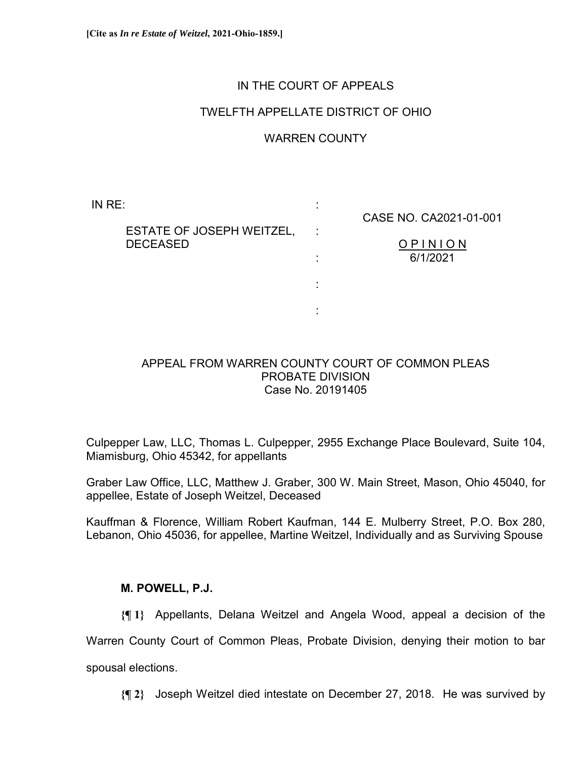# IN THE COURT OF APPEALS

## TWELFTH APPELLATE DISTRICT OF OHIO

## WARREN COUNTY

:

:

:

:

:

IN RE:

CASE NO. CA2021-01-001

 ESTATE OF JOSEPH WEITZEL, DECEASED

O P I N I O N 6/1/2021

### APPEAL FROM WARREN COUNTY COURT OF COMMON PLEAS PROBATE DIVISION Case No. 20191405

Culpepper Law, LLC, Thomas L. Culpepper, 2955 Exchange Place Boulevard, Suite 104, Miamisburg, Ohio 45342, for appellants

Graber Law Office, LLC, Matthew J. Graber, 300 W. Main Street, Mason, Ohio 45040, for appellee, Estate of Joseph Weitzel, Deceased

Kauffman & Florence, William Robert Kaufman, 144 E. Mulberry Street, P.O. Box 280, Lebanon, Ohio 45036, for appellee, Martine Weitzel, Individually and as Surviving Spouse

### **M. POWELL, P.J.**

**{¶ 1}** Appellants, Delana Weitzel and Angela Wood, appeal a decision of the Warren County Court of Common Pleas, Probate Division, denying their motion to bar spousal elections.

**{¶ 2}** Joseph Weitzel died intestate on December 27, 2018. He was survived by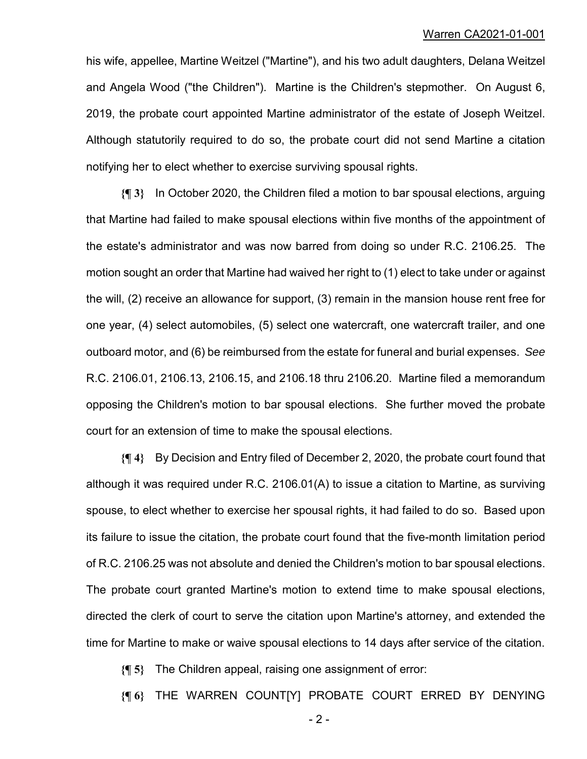#### Warren CA2021-01-001

his wife, appellee, Martine Weitzel ("Martine"), and his two adult daughters, Delana Weitzel and Angela Wood ("the Children"). Martine is the Children's stepmother. On August 6, 2019, the probate court appointed Martine administrator of the estate of Joseph Weitzel. Although statutorily required to do so, the probate court did not send Martine a citation notifying her to elect whether to exercise surviving spousal rights.

**{¶ 3}** In October 2020, the Children filed a motion to bar spousal elections, arguing that Martine had failed to make spousal elections within five months of the appointment of the estate's administrator and was now barred from doing so under R.C. 2106.25. The motion sought an order that Martine had waived her right to (1) elect to take under or against the will, (2) receive an allowance for support, (3) remain in the mansion house rent free for one year, (4) select automobiles, (5) select one watercraft, one watercraft trailer, and one outboard motor, and (6) be reimbursed from the estate for funeral and burial expenses. *See* R.C. 2106.01, 2106.13, 2106.15, and 2106.18 thru 2106.20. Martine filed a memorandum opposing the Children's motion to bar spousal elections. She further moved the probate court for an extension of time to make the spousal elections.

**{¶ 4}** By Decision and Entry filed of December 2, 2020, the probate court found that although it was required under R.C. 2106.01(A) to issue a citation to Martine, as surviving spouse, to elect whether to exercise her spousal rights, it had failed to do so. Based upon its failure to issue the citation, the probate court found that the five-month limitation period of R.C. 2106.25 was not absolute and denied the Children's motion to bar spousal elections. The probate court granted Martine's motion to extend time to make spousal elections, directed the clerk of court to serve the citation upon Martine's attorney, and extended the time for Martine to make or waive spousal elections to 14 days after service of the citation.

**{¶ 5}** The Children appeal, raising one assignment of error:

**{¶ 6}** THE WARREN COUNT[Y] PROBATE COURT ERRED BY DENYING

 $-2$  -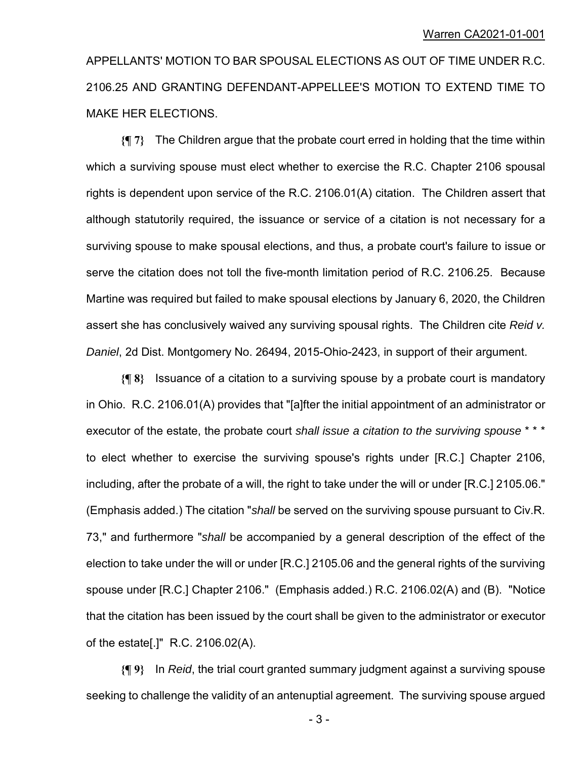APPELLANTS' MOTION TO BAR SPOUSAL ELECTIONS AS OUT OF TIME UNDER R.C. 2106.25 AND GRANTING DEFENDANT-APPELLEE'S MOTION TO EXTEND TIME TO MAKE HER ELECTIONS.

**{¶ 7}** The Children argue that the probate court erred in holding that the time within which a surviving spouse must elect whether to exercise the R.C. Chapter 2106 spousal rights is dependent upon service of the R.C. 2106.01(A) citation. The Children assert that although statutorily required, the issuance or service of a citation is not necessary for a surviving spouse to make spousal elections, and thus, a probate court's failure to issue or serve the citation does not toll the five-month limitation period of R.C. 2106.25. Because Martine was required but failed to make spousal elections by January 6, 2020, the Children assert she has conclusively waived any surviving spousal rights. The Children cite *Reid v. Daniel*, 2d Dist. Montgomery No. 26494, 2015-Ohio-2423, in support of their argument.

**{¶ 8}** Issuance of a citation to a surviving spouse by a probate court is mandatory in Ohio. R.C. 2106.01(A) provides that "[a]fter the initial appointment of an administrator or executor of the estate, the probate court *shall issue a citation to the surviving spouse* \* \* \* to elect whether to exercise the surviving spouse's rights under [R.C.] Chapter 2106, including, after the probate of a will, the right to take under the will or under [R.C.] 2105.06." (Emphasis added.) The citation "*shall* be served on the surviving spouse pursuant to Civ.R. 73," and furthermore "*shall* be accompanied by a general description of the effect of the election to take under the will or under [R.C.] 2105.06 and the general rights of the surviving spouse under [R.C.] Chapter 2106." (Emphasis added.) R.C. 2106.02(A) and (B). "Notice that the citation has been issued by the court shall be given to the administrator or executor of the estate[.]" R.C. 2106.02(A).

**{¶ 9}** In *Reid*, the trial court granted summary judgment against a surviving spouse seeking to challenge the validity of an antenuptial agreement. The surviving spouse argued

 $-3-$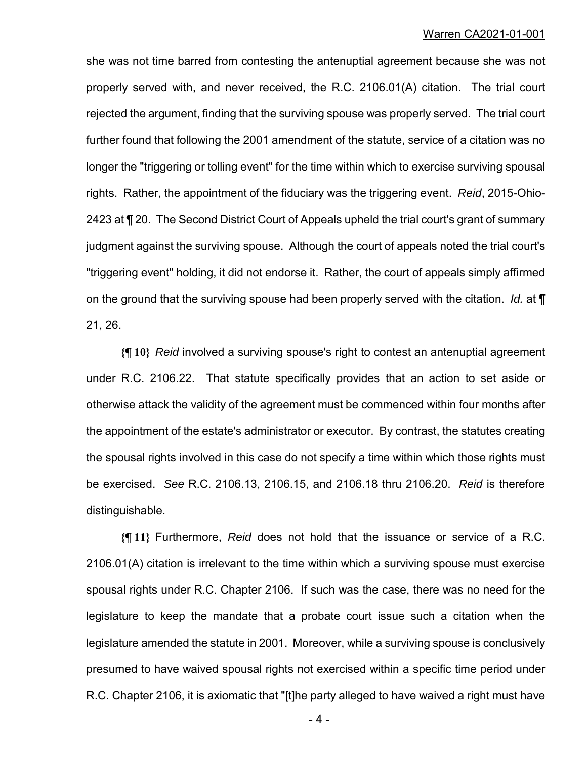#### Warren CA2021-01-001

she was not time barred from contesting the antenuptial agreement because she was not properly served with, and never received, the R.C. 2106.01(A) citation. The trial court rejected the argument, finding that the surviving spouse was properly served. The trial court further found that following the 2001 amendment of the statute, service of a citation was no longer the "triggering or tolling event" for the time within which to exercise surviving spousal rights. Rather, the appointment of the fiduciary was the triggering event. *Reid*, 2015-Ohio-2423 at ¶ 20. The Second District Court of Appeals upheld the trial court's grant of summary judgment against the surviving spouse. Although the court of appeals noted the trial court's "triggering event" holding, it did not endorse it. Rather, the court of appeals simply affirmed on the ground that the surviving spouse had been properly served with the citation. *Id.* at ¶ 21, 26.

**{¶ 10}** *Reid* involved a surviving spouse's right to contest an antenuptial agreement under R.C. 2106.22. That statute specifically provides that an action to set aside or otherwise attack the validity of the agreement must be commenced within four months after the appointment of the estate's administrator or executor. By contrast, the statutes creating the spousal rights involved in this case do not specify a time within which those rights must be exercised. *See* R.C. 2106.13, 2106.15, and 2106.18 thru 2106.20. *Reid* is therefore distinguishable.

**{¶ 11}** Furthermore, *Reid* does not hold that the issuance or service of a R.C. 2106.01(A) citation is irrelevant to the time within which a surviving spouse must exercise spousal rights under R.C. Chapter 2106. If such was the case, there was no need for the legislature to keep the mandate that a probate court issue such a citation when the legislature amended the statute in 2001. Moreover, while a surviving spouse is conclusively presumed to have waived spousal rights not exercised within a specific time period under R.C. Chapter 2106, it is axiomatic that "[t]he party alleged to have waived a right must have

 $-4-$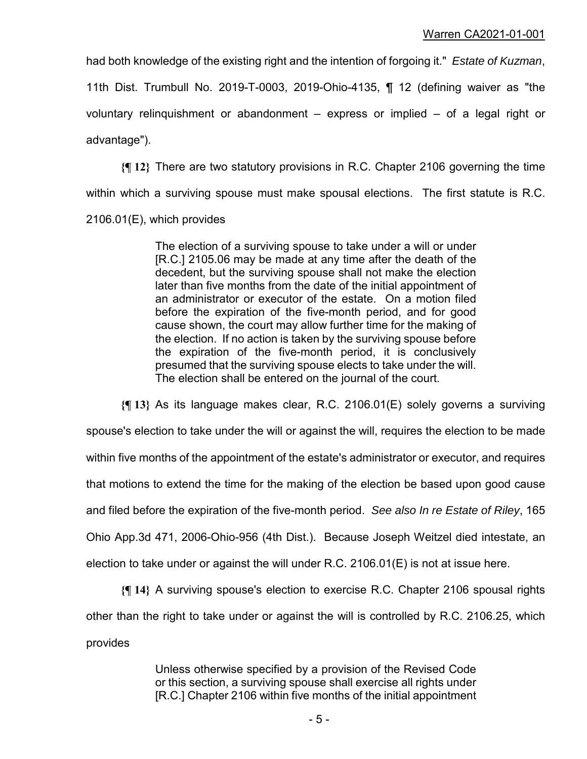had both knowledge of the existing right and the intention of forgoing it." *Estate of Kuzman*,

11th Dist. Trumbull No. 2019-T-0003, 2019-Ohio-4135, ¶ 12 (defining waiver as "the voluntary relinquishment or abandonment – express or implied – of a legal right or advantage").

**{¶ 12}** There are two statutory provisions in R.C. Chapter 2106 governing the time within which a surviving spouse must make spousal elections. The first statute is R.C. 2106.01(E), which provides

> The election of a surviving spouse to take under a will or under [R.C.] 2105.06 may be made at any time after the death of the decedent, but the surviving spouse shall not make the election later than five months from the date of the initial appointment of an administrator or executor of the estate. On a motion filed before the expiration of the five-month period, and for good cause shown, the court may allow further time for the making of the election. If no action is taken by the surviving spouse before the expiration of the five-month period, it is conclusively presumed that the surviving spouse elects to take under the will. The election shall be entered on the journal of the court.

**{¶ 13}** As its language makes clear, R.C. 2106.01(E) solely governs a surviving spouse's election to take under the will or against the will, requires the election to be made within five months of the appointment of the estate's administrator or executor, and requires that motions to extend the time for the making of the election be based upon good cause and filed before the expiration of the five-month period. *See also In re Estate of Riley*, 165 Ohio App.3d 471, 2006-Ohio-956 (4th Dist.). Because Joseph Weitzel died intestate, an election to take under or against the will under R.C. 2106.01(E) is not at issue here.

**{¶ 14}** A surviving spouse's election to exercise R.C. Chapter 2106 spousal rights other than the right to take under or against the will is controlled by R.C. 2106.25, which provides

> Unless otherwise specified by a provision of the Revised Code or this section, a surviving spouse shall exercise all rights under [R.C.] Chapter 2106 within five months of the initial appointment